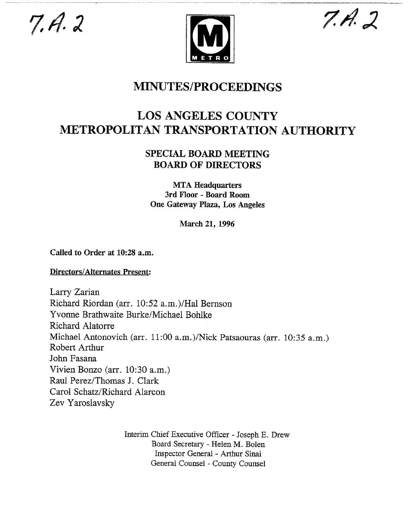$7.4.2$ 





## **MINUTES/PROCEEDINGS**

## **LOS ANGELES COUNTY METROPOLITAN TRANSPORTATION AUTHORITY**

## SPECIAL BOARD **MEETING BOARD OF DIRECTORS**

MTA Headquarters **3rd Floor - Board Room** One Gateway Plaza, Los Angeles

**March** 21, 1996

Called to Order at 10:28 a.m.

Directors/Alternates Present:

Larry Zarian Richard Riordan (art. 10:52 a.m.)/Hal Bernson Yvorme Brathwaite Burke/Michael Bohlke Richard Alatorre Michael Antonovich (arr. 11:00 a.m.)/Nick Patsaouras (arr. 10:35 a.m.) Robert Arthur John Fasana Vivien Bonzo (arr. 10:30 a.m.) Raul Perez/Thomas J. Clark Carol Schatz/Richard Alarcon Zev Yaroslavsky

> Interim Chief Executive Officer - Joseph E. Drew Board Secretary - Helen M. Bolen Inspector General - Arthur Sinai General Counsel - County Counsel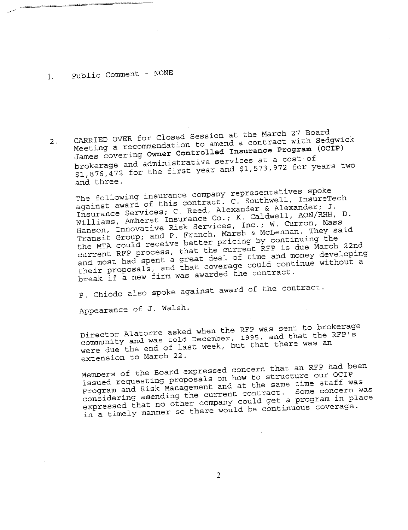## I. Public Comment - NONE

 $2.$ CARRIED OVER FOR CLOSED OVER THE MARCH 27 Board A contract with Se James covering **Owner Controlled Insurance Program (OCIP)**  $M_{\text{eff}}$  a recommendation to amend a contract with  $S_{\text{eff}}$  (OCTP) brokerage and administrative services at a cost of  $$1,876$ , $472$  for the first year and  $$1,573,972$  for years two and three.

The following insurance company representatives spoke against award of this contract. C. Southwell, InsureTech Insurance Services; C. Reed, Alexander & Alexander; J. Williams, Amherst Insurance Co.; K. Caldwell, AON/RHH, D. Hanson, Innovative Risk Services, Inc.; W. Curron, Mass Transit Group; and P. French, Marsh & McLennan. They said the MTA could receive better pricing by continuing the current REP process, that the current REP is due March 22nd and most had spent a great deal of time and money developing their proposals, and that coverage could continue without a break if a new firm was awarded the contract.

p. Chiodo also spoke against award of the contract.

Appearance of J. Walsh.

Director Alatorre asked when the RFP was sent to brokerage community and was told December, 1995, and that the REP's were due the end of last week, but that there was an extension to March 22.

Members of the Board expressed concern that an RFP had been issued requesting proposals on how to structure our OCIP Program and Risk Management and at the same time staff was considering amending the current contract. Some concern was expressed that no other company could get a program in place in a timely manner so there would be continuous coverage.